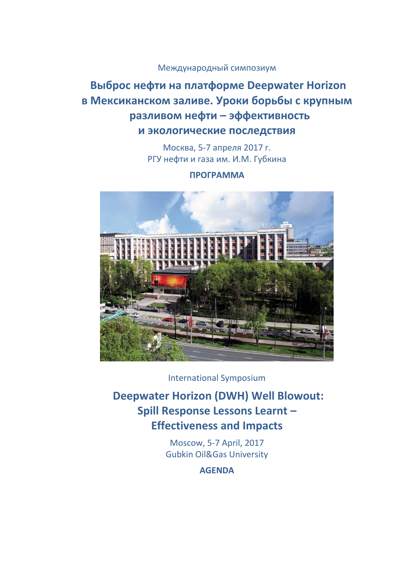# Международный симпозиум

# **Выброс нефти на платформе Deepwater Horizon в Мексиканском заливе. Уроки борьбы с крупным разливом нефти – эффективность и экологические последствия**

Москва, 5-7 апреля 2017 г. РГУ нефти и газа им. И.М. Губкина

## **ПРОГРАММА**



International Symposium

 **Deepwater Horizon (DWH) Well Blowout: Spill Response Lessons Learnt – Effectiveness and Impacts** 

> Moscow, 5-7 April, 2017 Gubkin Oil&Gas University

> > **AGENDA**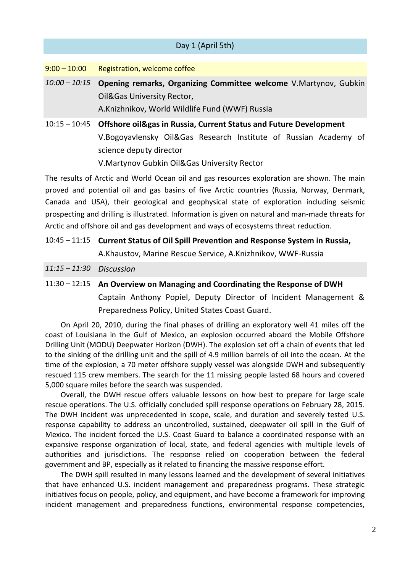|                 | Day 1 (April 5th)                                                                                                |
|-----------------|------------------------------------------------------------------------------------------------------------------|
|                 |                                                                                                                  |
| $9:00 - 10:00$  | Registration, welcome coffee                                                                                     |
| $10:00 - 10:15$ | Opening remarks, Organizing Committee welcome V.Martynov, Gubkin                                                 |
|                 | Oil&Gas University Rector,                                                                                       |
|                 | A.Knizhnikov, World Wildlife Fund (WWF) Russia                                                                   |
| $10:15 - 10:45$ | <b>Offshore oil&amp;gas in Russia, Current Status and Future Development</b>                                     |
|                 | V.Bogoyavlensky Oil&Gas Research Institute of Russian Academy of                                                 |
|                 | science deputy director                                                                                          |
|                 | V.Martynov Gubkin Oil&Gas University Rector                                                                      |
|                 | ديا∓ المستنصرات معنى متوقفة مستناسبية المتحدد ومعن المعنو التي متحدد 10 ملك المعنو وقطعته المعنو والتنفيذ المراق |

The results of Arctic and World Ocean oil and gas resources exploration are shown. The main proved and potential oil and gas basins of five Arctic countries (Russia, Norway, Denmark, Canada and USA), their geological and geophysical state of exploration including seismic prospecting and drilling is illustrated. Information is given on natural and man-made threats for Arctic and offshore oil and gas development and ways of ecosystems threat reduction.

- 10:45 11:15 **Current Status of Oil Spill Prevention and Response System in Russia,** A.Khaustov, Marine Rescue Service, A.Knizhnikov, WWF-Russia
- *11:15 – 11:30 Discussion*
- 11:30 12:15 **An Overview on Managing and Coordinating the Response of DWH** Captain Anthony Popiel, Deputy Director of Incident Management & Preparedness Policy, United States Coast Guard.

On April 20, 2010, during the final phases of drilling an exploratory well 41 miles off the coast of Louisiana in the Gulf of Mexico, an explosion occurred aboard the Mobile Offshore Drilling Unit (MODU) Deepwater Horizon (DWH). The explosion set off a chain of events that led to the sinking of the drilling unit and the spill of 4.9 million barrels of oil into the ocean. At the time of the explosion, a 70 meter offshore supply vessel was alongside DWH and subsequently rescued 115 crew members. The search for the 11 missing people lasted 68 hours and covered 5,000 square miles before the search was suspended.

Overall, the DWH rescue offers valuable lessons on how best to prepare for large scale rescue operations. The U.S. officially concluded spill response operations on February 28, 2015. The DWH incident was unprecedented in scope, scale, and duration and severely tested U.S. response capability to address an uncontrolled, sustained, deepwater oil spill in the Gulf of Mexico. The incident forced the U.S. Coast Guard to balance a coordinated response with an expansive response organization of local, state, and federal agencies with multiple levels of authorities and jurisdictions. The response relied on cooperation between the federal government and BP, especially as it related to financing the massive response effort.

The DWH spill resulted in many lessons learned and the development of several initiatives that have enhanced U.S. incident management and preparedness programs. These strategic initiatives focus on people, policy, and equipment, and have become a framework for improving incident management and preparedness functions, environmental response competencies,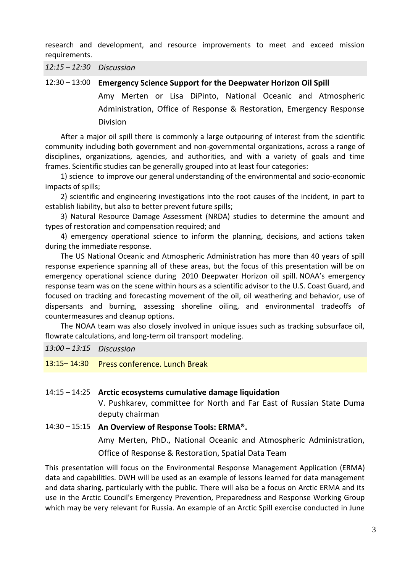research and development, and resource improvements to meet and exceed mission requirements.

*12:15 – 12:30 Discussion*

12:30 – 13:00 **Emergency Science Support for the Deepwater Horizon Oil Spill** Amy Merten or Lisa DiPinto, National Oceanic and Atmospheric Administration, Office of Response & Restoration, Emergency Response Division

After a major oil spill there is commonly a large outpouring of interest from the scientific community including both government and non-governmental organizations, across a range of disciplines, organizations, agencies, and authorities, and with a variety of goals and time frames. Scientific studies can be generally grouped into at least four categories:

1) science to improve our general understanding of the environmental and socio-economic impacts of spills;

2) scientific and engineering investigations into the root causes of the incident, in part to establish liability, but also to better prevent future spills;

3) Natural Resource Damage Assessment (NRDA) studies to determine the amount and types of restoration and compensation required; and

4) emergency operational science to inform the planning, decisions, and actions taken during the immediate response.

The US National Oceanic and Atmospheric Administration has more than 40 years of spill response experience spanning all of these areas, but the focus of this presentation will be on emergency operational science during 2010 Deepwater Horizon oil spill. NOAA's emergency response team was on the scene within hours as a scientific advisor to the U.S. Coast Guard, and focused on tracking and forecasting movement of the oil, oil weathering and behavior, use of dispersants and burning, assessing shoreline oiling, and environmental tradeoffs of countermeasures and cleanup options.

The NOAA team was also closely involved in unique issues such as tracking subsurface oil, flowrate calculations, and long-term oil transport modeling.

*13:00 – 13:15 Discussion*

13:15– 14:30 Press conference. Lunch Break

## 14:15 – 14:25 **Arctic ecosystems cumulative damage liquidation**

V. Pushkarev, committee for North and Far East of Russian State Duma deputy chairman

14:30 – 15:15 **An Overview of Response Tools: ERMA®.**  Amy Merten, PhD., National Oceanic and Atmospheric Administration, Office of Response & Restoration, Spatial Data Team

This presentation will focus on the Environmental Response Management Application (ERMA) data and capabilities. DWH will be used as an example of lessons learned for data management and data sharing, particularly with the public. There will also be a focus on Arctic ERMA and its use in the Arctic Council's Emergency Prevention, Preparedness and Response Working Group which may be very relevant for Russia. An example of an Arctic Spill exercise conducted in June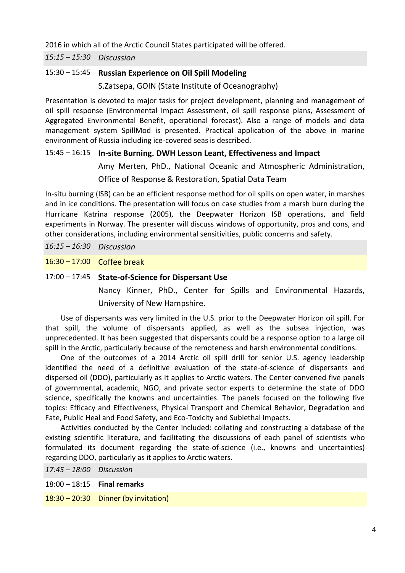2016 in which all of the Arctic Council States participated will be offered.

*15:15 – 15:30 Discussion* 

## 15:30 – 15:45 **Russian Experience on Oil Spill Modeling**

S.Zatsepa, GOIN (State Institute of Oceanography)

Presentation is devoted to major tasks for project development, planning and management of oil spill response (Environmental Impact Assessment, oil spill response plans, Assessment of Aggregated Environmental Benefit, operational forecast). Also a range of models and data management system SpillMod is presented. Practical application of the above in marine environment of Russia including ice-covered seas is described.

## 15:45 – 16:15 **In-site Burning. DWH Lesson Leant, Effectiveness and Impact**

Amy Merten, PhD., National Oceanic and Atmospheric Administration, Office of Response & Restoration, Spatial Data Team

In-situ burning (ISB) can be an efficient response method for oil spills on open water, in marshes and in ice conditions. The presentation will focus on case studies from a marsh burn during the Hurricane Katrina response (2005), the Deepwater Horizon ISB operations, and field experiments in Norway. The presenter will discuss windows of opportunity, pros and cons, and other considerations, including environmental sensitivities, public concerns and safety.

*16:15 – 16:30 Discussion* 

16:30 – 17:00 Сoffee break

## 17:00 – 17:45 **State-of-Science for Dispersant Use**

Nancy Kinner, PhD., Center for Spills and Environmental Hazards, University of New Hampshire.

Use of dispersants was very limited in the U.S. prior to the Deepwater Horizon oil spill. For that spill, the volume of dispersants applied, as well as the subsea injection, was unprecedented. It has been suggested that dispersants could be a response option to a large oil spill in the Arctic, particularly because of the remoteness and harsh environmental conditions.

One of the outcomes of a 2014 Arctic oil spill drill for senior U.S. agency leadership identified the need of a definitive evaluation of the state-of-science of dispersants and dispersed oil (DDO), particularly as it applies to Arctic waters. The Center convened five panels of governmental, academic, NGO, and private sector experts to determine the state of DDO science, specifically the knowns and uncertainties. The panels focused on the following five topics: Efficacy and Effectiveness, Physical Transport and Chemical Behavior, Degradation and Fate, Public Heal and Food Safety, and Eco-Toxicity and Sublethal Impacts.

Activities conducted by the Center included: collating and constructing a database of the existing scientific literature, and facilitating the discussions of each panel of scientists who formulated its document regarding the state-of-science (i.e., knowns and uncertainties) regarding DDO, particularly as it applies to Arctic waters.

*17:45 – 18:00 Discussion*  18:00 – 18:15 **Final remarks** 18:30 – 20:30 Dinner (by invitation)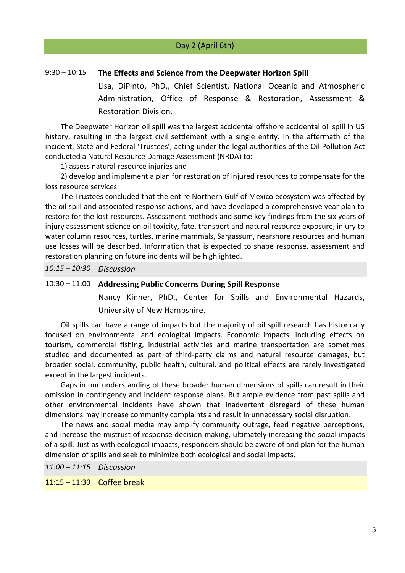#### 9:30 – 10:15 **The Effects and Science from the Deepwater Horizon Spill**

Lisa, DiPinto, PhD., Chief Scientist, National Oceanic and Atmospheric Administration, Office of Response & Restoration, Assessment & Restoration Division.

The Deepwater Horizon oil spill was the largest accidental offshore accidental oil spill in US history, resulting in the largest civil settlement with a single entity. In the aftermath of the incident, State and Federal 'Trustees', acting under the legal authorities of the Oil Pollution Act conducted a Natural Resource Damage Assessment (NRDA) to:

1) assess natural resource injuries and

2) develop and implement a plan for restoration of injured resources to compensate for the loss resource services.

The Trustees concluded that the entire Northern Gulf of Mexico ecosystem was affected by the oil spill and associated response actions, and have developed a comprehensive year plan to restore for the lost resources. Assessment methods and some key findings from the six years of injury assessment science on oil toxicity, fate, transport and natural resource exposure, injury to water column resources, turtles, marine mammals, Sargassum, nearshore resources and human use losses will be described. Information that is expected to shape response, assessment and restoration planning on future incidents will be highlighted.

*10:15 – 10:30 Discussion* 

## 10:30 – 11:00 **Addressing Public Concerns During Spill Response**

Nancy Kinner, PhD., Center for Spills and Environmental Hazards, University of New Hampshire.

Oil spills can have a range of impacts but the majority of oil spill research has historically focused on environmental and ecological impacts. Economic impacts, including effects on tourism, commercial fishing, industrial activities and marine transportation are sometimes studied and documented as part of third-party claims and natural resource damages, but broader social, community, public health, cultural, and political effects are rarely investigated except in the largest incidents.

Gaps in our understanding of these broader human dimensions of spills can result in their omission in contingency and incident response plans. But ample evidence from past spills and other environmental incidents have shown that inadvertent disregard of these human dimensions may increase community complaints and result in unnecessary social disruption.

The news and social media may amplify community outrage, feed negative perceptions, and increase the mistrust of response decision-making, ultimately increasing the social impacts of a spill. Just as with ecological impacts, responders should be aware of and plan for the human dimension of spills and seek to minimize both ecological and social impacts.

*11:00 – 11:15 Discussion* 

11:15 – 11:30 Сoffee break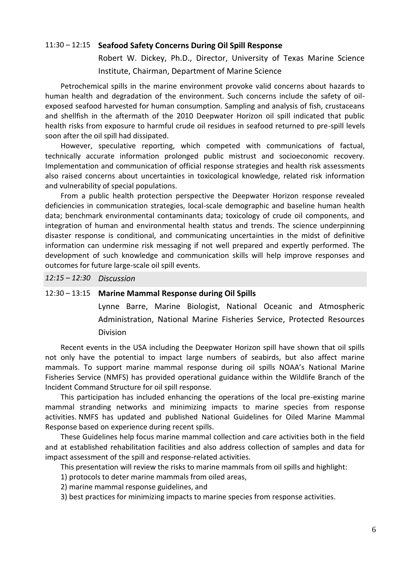#### 11:30 – 12:15 **Seafood Safety Concerns During Oil Spill Response**

Robert W. Dickey, Ph.D., Director, University of Texas Marine Science Institute, Chairman, Department of Marine Science

Petrochemical spills in the marine environment provoke valid concerns about hazards to human health and degradation of the environment. Such concerns include the safety of oilexposed seafood harvested for human consumption. Sampling and analysis of fish, crustaceans and shellfish in the aftermath of the 2010 Deepwater Horizon oil spill indicated that public health risks from exposure to harmful crude oil residues in seafood returned to pre-spill levels soon after the oil spill had dissipated.

However, speculative reporting, which competed with communications of factual, technically accurate information prolonged public mistrust and socioeconomic recovery. Implementation and communication of official response strategies and health risk assessments also raised concerns about uncertainties in toxicological knowledge, related risk information and vulnerability of special populations.

From a public health protection perspective the Deepwater Horizon response revealed deficiencies in communication strategies, local-scale demographic and baseline human health data; benchmark environmental contaminants data; toxicology of crude oil components, and integration of human and environmental health status and trends. The science underpinning disaster response is conditional, and communicating uncertainties in the midst of definitive information can undermine risk messaging if not well prepared and expertly performed. The development of such knowledge and communication skills will help improve responses and outcomes for future large-scale oil spill events.

*12:15 – 12:30 Discussion* 

#### 12:30 – 13:15 **Marine Mammal Response during Oil Spills**

Lynne Barre, Marine Biologist, National Oceanic and Atmospheric Administration, National Marine Fisheries Service, Protected Resources Division

Recent events in the USA including the Deepwater Horizon spill have shown that oil spills not only have the potential to impact large numbers of seabirds, but also affect marine mammals. To support marine mammal response during oil spills NOAA's National Marine Fisheries Service (NMFS) has provided operational guidance within the Wildlife Branch of the Incident Command Structure for oil spill response.

This participation has included enhancing the operations of the local pre-existing marine mammal stranding networks and minimizing impacts to marine species from response activities. NMFS has updated and published National Guidelines for Oiled Marine Mammal Response based on experience during recent spills.

These Guidelines help focus marine mammal collection and care activities both in the field and at established rehabilitation facilities and also address collection of samples and data for impact assessment of the spill and response-related activities.

This presentation will review the risks to marine mammals from oil spills and highlight:

1) protocols to deter marine mammals from oiled areas,

2) marine mammal response guidelines, and

3) best practices for minimizing impacts to marine species from response activities.